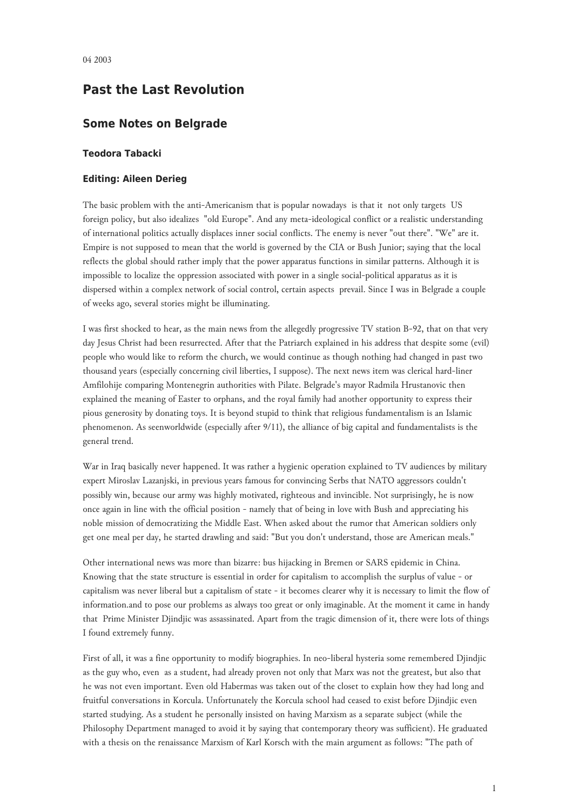## **Past the Last Revolution**

## **Some Notes on Belgrade**

## **Teodora Tabacki**

## **Editing: Aileen Derieg**

The basic problem with the anti-Americanism that is popular nowadays is that it not only targets US foreign policy, but also idealizes "old Europe". And any meta-ideological conflict or a realistic understanding of international politics actually displaces inner social conflicts. The enemy is never "out there". "We" are it. Empire is not supposed to mean that the world is governed by the CIA or Bush Junior; saying that the local reflects the global should rather imply that the power apparatus functions in similar patterns. Although it is impossible to localize the oppression associated with power in a single social-political apparatus as it is dispersed within a complex network of social control, certain aspects prevail. Since I was in Belgrade a couple of weeks ago, several stories might be illuminating.

I was first shocked to hear, as the main news from the allegedly progressive TV station B-92, that on that very day Jesus Christ had been resurrected. After that the Patriarch explained in his address that despite some (evil) people who would like to reform the church, we would continue as though nothing had changed in past two thousand years (especially concerning civil liberties, I suppose). The next news item was clerical hard-liner Amfilohije comparing Montenegrin authorities with Pilate. Belgrade's mayor Radmila Hrustanovic then explained the meaning of Easter to orphans, and the royal family had another opportunity to express their pious generosity by donating toys. It is beyond stupid to think that religious fundamentalism is an Islamic phenomenon. As seenworldwide (especially after 9/11), the alliance of big capital and fundamentalists is the general trend.

War in Iraq basically never happened. It was rather a hygienic operation explained to TV audiences by military expert Miroslav Lazanjski, in previous years famous for convincing Serbs that NATO aggressors couldn't possibly win, because our army was highly motivated, righteous and invincible. Not surprisingly, he is now once again in line with the official position - namely that of being in love with Bush and appreciating his noble mission of democratizing the Middle East. When asked about the rumor that American soldiers only get one meal per day, he started drawling and said: "But you don't understand, those are American meals."

Other international news was more than bizarre: bus hijacking in Bremen or SARS epidemic in China. Knowing that the state structure is essential in order for capitalism to accomplish the surplus of value - or capitalism was never liberal but a capitalism of state - it becomes clearer why it is necessary to limit the flow of information.and to pose our problems as always too great or only imaginable. At the moment it came in handy that Prime Minister Djindjic was assassinated. Apart from the tragic dimension of it, there were lots of things I found extremely funny.

First of all, it was a fine opportunity to modify biographies. In neo-liberal hysteria some remembered Djindjic as the guy who, even as a student, had already proven not only that Marx was not the greatest, but also that he was not even important. Even old Habermas was taken out of the closet to explain how they had long and fruitful conversations in Korcula. Unfortunately the Korcula school had ceased to exist before Djindjic even started studying. As a student he personally insisted on having Marxism as a separate subject (while the Philosophy Department managed to avoid it by saying that contemporary theory was sufficient). He graduated with a thesis on the renaissance Marxism of Karl Korsch with the main argument as follows: "The path of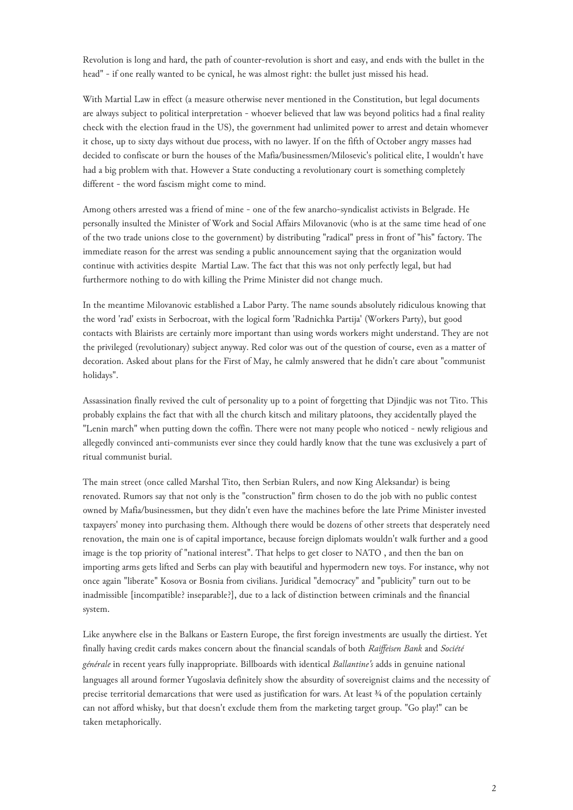Revolution is long and hard, the path of counter-revolution is short and easy, and ends with the bullet in the head" - if one really wanted to be cynical, he was almost right: the bullet just missed his head.

With Martial Law in effect (a measure otherwise never mentioned in the Constitution, but legal documents are always subject to political interpretation - whoever believed that law was beyond politics had a final reality check with the election fraud in the US), the government had unlimited power to arrest and detain whomever it chose, up to sixty days without due process, with no lawyer. If on the fifth of October angry masses had decided to confiscate or burn the houses of the Mafia/businessmen/Milosevic's political elite, I wouldn't have had a big problem with that. However a State conducting a revolutionary court is something completely different - the word fascism might come to mind.

Among others arrested was a friend of mine - one of the few anarcho-syndicalist activists in Belgrade. He personally insulted the Minister of Work and Social Affairs Milovanovic (who is at the same time head of one of the two trade unions close to the government) by distributing "radical" press in front of "his" factory. The immediate reason for the arrest was sending a public announcement saying that the organization would continue with activities despite Martial Law. The fact that this was not only perfectly legal, but had furthermore nothing to do with killing the Prime Minister did not change much.

In the meantime Milovanovic established a Labor Party. The name sounds absolutely ridiculous knowing that the word 'rad' exists in Serbocroat, with the logical form 'Radnichka Partija' (Workers Party), but good contacts with Blairists are certainly more important than using words workers might understand. They are not the privileged (revolutionary) subject anyway. Red color was out of the question of course, even as a matter of decoration. Asked about plans for the First of May, he calmly answered that he didn't care about "communist holidays".

Assassination finally revived the cult of personality up to a point of forgetting that Djindjic was not Tito. This probably explains the fact that with all the church kitsch and military platoons, they accidentally played the "Lenin march" when putting down the coffin. There were not many people who noticed - newly religious and allegedly convinced anti-communists ever since they could hardly know that the tune was exclusively a part of ritual communist burial.

The main street (once called Marshal Tito, then Serbian Rulers, and now King Aleksandar) is being renovated. Rumors say that not only is the "construction" firm chosen to do the job with no public contest owned by Mafia/businessmen, but they didn't even have the machines before the late Prime Minister invested taxpayers' money into purchasing them. Although there would be dozens of other streets that desperately need renovation, the main one is of capital importance, because foreign diplomats wouldn't walk further and a good image is the top priority of "national interest". That helps to get closer to NATO , and then the ban on importing arms gets lifted and Serbs can play with beautiful and hypermodern new toys. For instance, why not once again "liberate" Kosova or Bosnia from civilians. Juridical "democracy" and "publicity" turn out to be inadmissible [incompatible? inseparable?], due to a lack of distinction between criminals and the financial system.

Like anywhere else in the Balkans or Eastern Europe, the first foreign investments are usually the dirtiest. Yet finally having credit cards makes concern about the financial scandals of both *Raiffeisen Bank* and *Société générale* in recent years fully inappropriate. Billboards with identical *Ballantine's* adds in genuine national languages all around former Yugoslavia definitely show the absurdity of sovereignist claims and the necessity of precise territorial demarcations that were used as justification for wars. At least  $\frac{3}{4}$  of the population certainly can not afford whisky, but that doesn't exclude them from the marketing target group. "Go play!" can be taken metaphorically.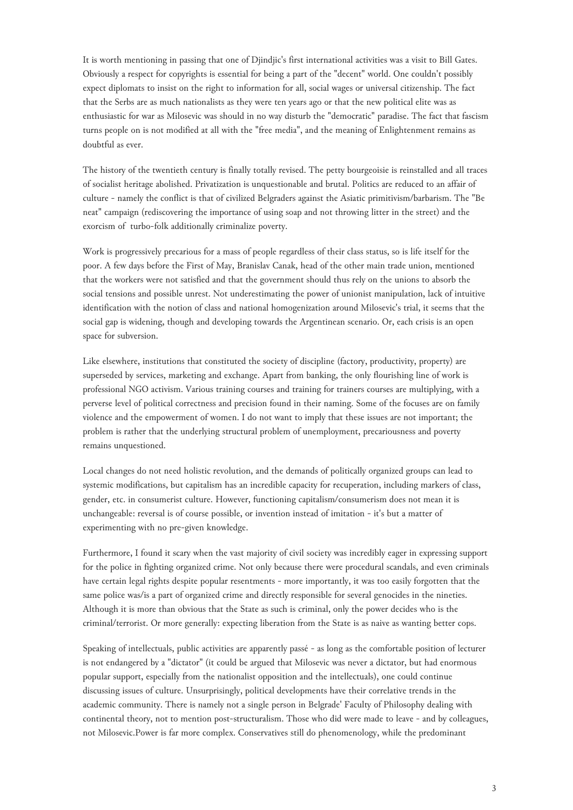It is worth mentioning in passing that one of Djindjic's first international activities was a visit to Bill Gates. Obviously a respect for copyrights is essential for being a part of the "decent" world. One couldn't possibly expect diplomats to insist on the right to information for all, social wages or universal citizenship. The fact that the Serbs are as much nationalists as they were ten years ago or that the new political elite was as enthusiastic for war as Milosevic was should in no way disturb the "democratic" paradise. The fact that fascism turns people on is not modified at all with the "free media", and the meaning of Enlightenment remains as doubtful as ever.

The history of the twentieth century is finally totally revised. The petty bourgeoisie is reinstalled and all traces of socialist heritage abolished. Privatization is unquestionable and brutal. Politics are reduced to an affair of culture - namely the conflict is that of civilized Belgraders against the Asiatic primitivism/barbarism. The "Be neat" campaign (rediscovering the importance of using soap and not throwing litter in the street) and the exorcism of turbo-folk additionally criminalize poverty.

Work is progressively precarious for a mass of people regardless of their class status, so is life itself for the poor. A few days before the First of May, Branislav Canak, head of the other main trade union, mentioned that the workers were not satisfied and that the government should thus rely on the unions to absorb the social tensions and possible unrest. Not underestimating the power of unionist manipulation, lack of intuitive identification with the notion of class and national homogenization around Milosevic's trial, it seems that the social gap is widening, though and developing towards the Argentinean scenario. Or, each crisis is an open space for subversion.

Like elsewhere, institutions that constituted the society of discipline (factory, productivity, property) are superseded by services, marketing and exchange. Apart from banking, the only flourishing line of work is professional NGO activism. Various training courses and training for trainers courses are multiplying, with a perverse level of political correctness and precision found in their naming. Some of the focuses are on family violence and the empowerment of women. I do not want to imply that these issues are not important; the problem is rather that the underlying structural problem of unemployment, precariousness and poverty remains unquestioned.

Local changes do not need holistic revolution, and the demands of politically organized groups can lead to systemic modifications, but capitalism has an incredible capacity for recuperation, including markers of class, gender, etc. in consumerist culture. However, functioning capitalism/consumerism does not mean it is unchangeable: reversal is of course possible, or invention instead of imitation - it's but a matter of experimenting with no pre-given knowledge.

Furthermore, I found it scary when the vast majority of civil society was incredibly eager in expressing support for the police in fighting organized crime. Not only because there were procedural scandals, and even criminals have certain legal rights despite popular resentments - more importantly, it was too easily forgotten that the same police was/is a part of organized crime and directly responsible for several genocides in the nineties. Although it is more than obvious that the State as such is criminal, only the power decides who is the criminal/terrorist. Or more generally: expecting liberation from the State is as naive as wanting better cops.

Speaking of intellectuals, public activities are apparently passé - as long as the comfortable position of lecturer is not endangered by a "dictator" (it could be argued that Milosevic was never a dictator, but had enormous popular support, especially from the nationalist opposition and the intellectuals), one could continue discussing issues of culture. Unsurprisingly, political developments have their correlative trends in the academic community. There is namely not a single person in Belgrade' Faculty of Philosophy dealing with continental theory, not to mention post-structuralism. Those who did were made to leave - and by colleagues, not Milosevic.Power is far more complex. Conservatives still do phenomenology, while the predominant